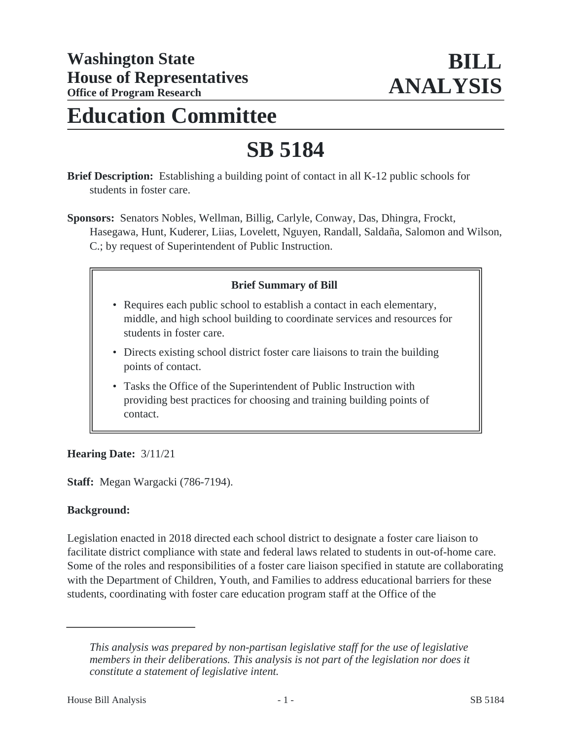## **Education Committee**

# **SB 5184**

**Brief Description:** Establishing a building point of contact in all K-12 public schools for students in foster care.

**Sponsors:** Senators Nobles, Wellman, Billig, Carlyle, Conway, Das, Dhingra, Frockt, Hasegawa, Hunt, Kuderer, Liias, Lovelett, Nguyen, Randall, Saldaña, Salomon and Wilson, C.; by request of Superintendent of Public Instruction.

### **Brief Summary of Bill**

- Requires each public school to establish a contact in each elementary, middle, and high school building to coordinate services and resources for students in foster care.
- Directs existing school district foster care liaisons to train the building points of contact.
- Tasks the Office of the Superintendent of Public Instruction with providing best practices for choosing and training building points of contact.

#### **Hearing Date:** 3/11/21

**Staff:** Megan Wargacki (786-7194).

#### **Background:**

Legislation enacted in 2018 directed each school district to designate a foster care liaison to facilitate district compliance with state and federal laws related to students in out-of-home care. Some of the roles and responsibilities of a foster care liaison specified in statute are collaborating with the Department of Children, Youth, and Families to address educational barriers for these students, coordinating with foster care education program staff at the Office of the

*This analysis was prepared by non-partisan legislative staff for the use of legislative members in their deliberations. This analysis is not part of the legislation nor does it constitute a statement of legislative intent.*